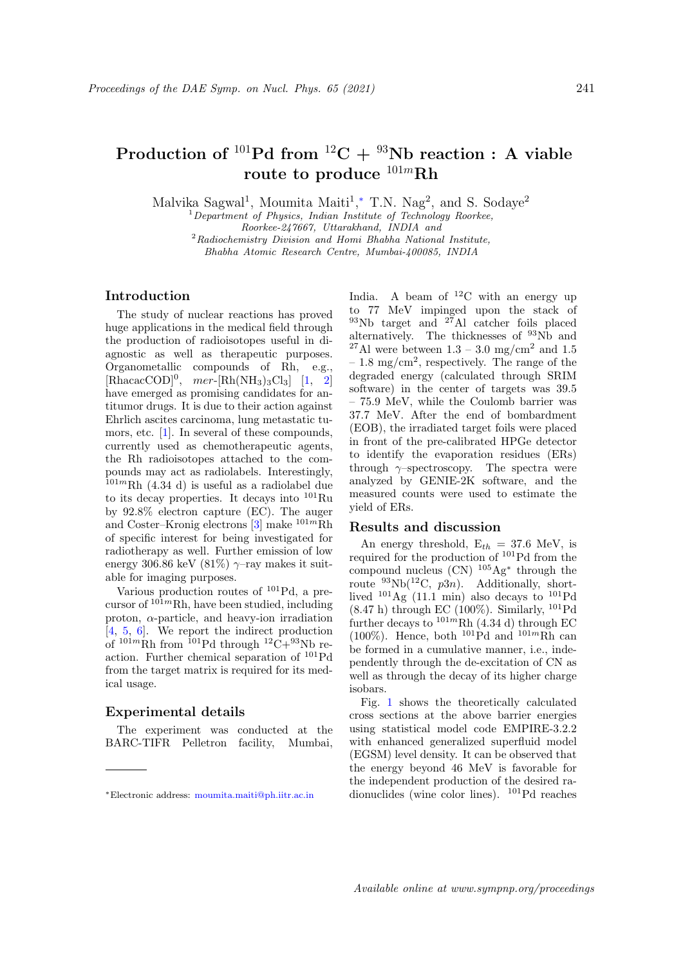# Production of  $^{101}Pd$  from  $^{12}C + ^{93}Nb$  reaction : A viable route to produce  $101m$ Rh

Malvika Sagwal<sup>1</sup>, Moumita Maiti<sup>1</sup>,\* T.N. Nag<sup>2</sup>, and S. Sodaye<sup>2</sup>

 $1$ Department of Physics, Indian Institute of Technology Roorkee, Roorkee-247667, Uttarakhand, INDIA and  $2$ Radiochemistry Division and Homi Bhabha National Institute, Bhabha Atomic Research Centre, Mumbai-400085, INDIA

# Introduction

The study of nuclear reactions has proved huge applications in the medical field through the production of radioisotopes useful in diagnostic as well as therapeutic purposes. Organometallic compounds of Rh, e.g.,  $[\text{Rhacac COD}]$ <sup>0</sup>, mer- $[\text{Rh(NH<sub>3</sub>)<sub>3</sub>Cl<sub>3</sub>]$  [1, 2] have emerged as promising candidates for antitumor drugs. It is due to their action against Ehrlich ascites carcinoma, lung metastatic tumors, etc. [1]. In several of these compounds, currently used as chemotherapeutic agents, the Rh radioisotopes attached to the compounds may act as radiolabels. Interestingly,  $101mRh$  (4.34 d) is useful as a radiolabel due to its decay properties. It decays into <sup>101</sup>Ru by 92.8% electron capture (EC). The auger and Coster–Kronig electrons  $[3]$  make  $^{101m}$ Rh of specific interest for being investigated for radiotherapy as well. Further emission of low energy 306.86 keV (81%)  $\gamma$ -ray makes it suitable for imaging purposes.

Various production routes of <sup>101</sup>Pd, a precursor of  $101mRh$ , have been studied, including proton,  $\alpha$ -particle, and heavy-ion irradiation [4, 5, 6]. We report the indirect production of  $101mRh$  from  $101Pd$  through  $12C+93Nb$  reaction. Further chemical separation of <sup>101</sup>Pd from the target matrix is required for its medical usage.

# Experimental details

The experiment was conducted at the BARC-TIFR Pelletron facility, Mumbai,

India. A beam of  ${}^{12}$ C with an energy up to 77 MeV impinged upon the stack of  $93Nb$  target and  $27A1$  catcher foils placed alternatively. The thicknesses of <sup>93</sup>Nb and <sup>27</sup>Al were between  $1.3 - 3.0$  mg/cm<sup>2</sup> and  $1.5$  $-1.8 \text{ mg/cm}^2$ , respectively. The range of the degraded energy (calculated through SRIM software) in the center of targets was 39.5 – 75.9 MeV, while the Coulomb barrier was 37.7 MeV. After the end of bombardment (EOB), the irradiated target foils were placed in front of the pre-calibrated HPGe detector to identify the evaporation residues (ERs) through  $\gamma$ –spectroscopy. The spectra were analyzed by GENIE-2K software, and the measured counts were used to estimate the yield of ERs.

#### Results and discussion

An energy threshold,  $E_{th} = 37.6$  MeV, is required for the production of <sup>101</sup>Pd from the compound nucleus  $(CN)^{105}$ Ag<sup>\*</sup> through the route  $^{93}Nb(^{12}C, p3n)$ . Additionally, shortlived  $^{101}\text{Ag}$  (11.1 min) also decays to  $^{101}\text{Pd}$  $(8.47 h)$  through EC  $(100\%)$ . Similarly,  $^{101}Pd$ further decays to  $^{101m}$ Rh (4.34 d) through EC (100%). Hence, both  $^{101}Pd$  and  $^{101m}Rh$  can be formed in a cumulative manner, i.e., independently through the de-excitation of CN as well as through the decay of its higher charge isobars.

Fig. 1 shows the theoretically calculated cross sections at the above barrier energies using statistical model code EMPIRE-3.2.2 with enhanced generalized superfluid model (EGSM) level density. It can be observed that the energy beyond 46 MeV is favorable for the independent production of the desired radionuclides (wine color lines). <sup>101</sup>Pd reaches

<sup>∗</sup>Electronic address: moumita.maiti@ph.iitr.ac.in